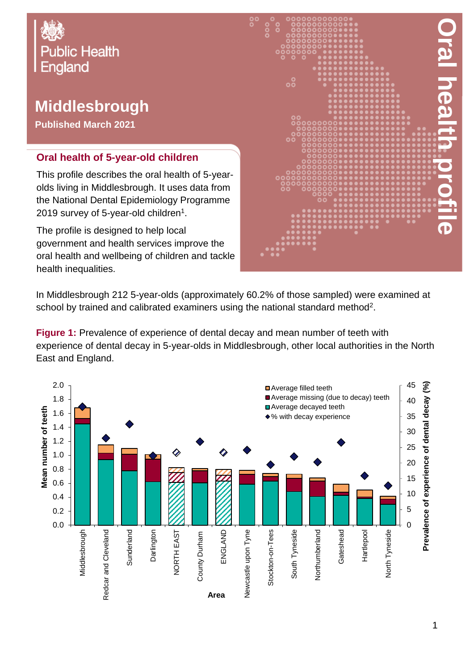

## **Middlesbrough**

**Published March 2021**

## **Oral health of 5-year-old children**

This profile describes the oral health of 5-yearolds living in Middlesbrough. It uses data from the National Dental Epidemiology Programme 2019 survey of 5-year-old children $^{\rm 1}.$ 

The profile is designed to help local government and health services improve the oral health and wellbeing of children and tackle health inequalities.



In Middlesbrough 212 5-year-olds (approximately 60.2% of those sampled) were examined at school by trained and calibrated examiners using the national standard method<sup>2</sup>.

**Figure 1:** Prevalence of experience of dental decay and mean number of teeth with experience of dental decay in 5-year-olds in Middlesbrough, other local authorities in the North East and England.

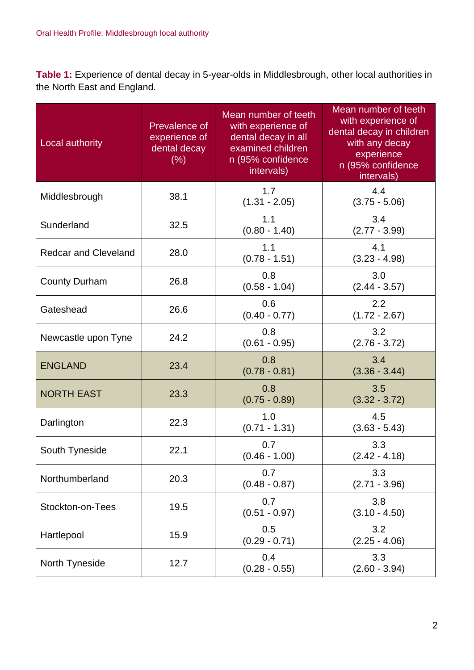**Table 1:** Experience of dental decay in 5-year-olds in Middlesbrough, other local authorities in the North East and England.

| Local authority             | Prevalence of<br>experience of<br>dental decay<br>(% ) | Mean number of teeth<br>with experience of<br>dental decay in all<br>examined children<br>n (95% confidence<br>intervals) | Mean number of teeth<br>with experience of<br>dental decay in children<br>with any decay<br>experience<br>n (95% confidence<br>intervals) |
|-----------------------------|--------------------------------------------------------|---------------------------------------------------------------------------------------------------------------------------|-------------------------------------------------------------------------------------------------------------------------------------------|
| Middlesbrough               | 38.1                                                   | 1.7<br>$(1.31 - 2.05)$                                                                                                    | 4.4<br>$(3.75 - 5.06)$                                                                                                                    |
| Sunderland                  | 32.5                                                   | 1.1<br>$(0.80 - 1.40)$                                                                                                    | 3.4<br>$(2.77 - 3.99)$                                                                                                                    |
| <b>Redcar and Cleveland</b> | 28.0                                                   | 1.1<br>$(0.78 - 1.51)$                                                                                                    | 4.1<br>$(3.23 - 4.98)$                                                                                                                    |
| <b>County Durham</b>        | 26.8                                                   | 0.8<br>$(0.58 - 1.04)$                                                                                                    | 3.0<br>$(2.44 - 3.57)$                                                                                                                    |
| Gateshead                   | 26.6                                                   | 0.6<br>$(0.40 - 0.77)$                                                                                                    | 2.2<br>$(1.72 - 2.67)$                                                                                                                    |
| Newcastle upon Tyne         | 24.2                                                   | 0.8<br>$(0.61 - 0.95)$                                                                                                    | 3.2<br>$(2.76 - 3.72)$                                                                                                                    |
| <b>ENGLAND</b>              | 23.4                                                   | 0.8<br>$(0.78 - 0.81)$                                                                                                    | 3.4<br>$(3.36 - 3.44)$                                                                                                                    |
| <b>NORTH EAST</b>           | 23.3                                                   | 0.8<br>$(0.75 - 0.89)$                                                                                                    | 3.5<br>$(3.32 - 3.72)$                                                                                                                    |
| Darlington                  | 22.3                                                   | 1.0<br>$(0.71 - 1.31)$                                                                                                    | 4.5<br>$(3.63 - 5.43)$                                                                                                                    |
| South Tyneside              | 22.1                                                   | 0.7<br>$(0.46 - 1.00)$                                                                                                    | 3.3<br>$(2.42 - 4.18)$                                                                                                                    |
| Northumberland              | 20.3                                                   | 0.7<br>$(0.48 - 0.87)$                                                                                                    | 3.3<br>$(2.71 - 3.96)$                                                                                                                    |
| Stockton-on-Tees            | 19.5                                                   | 0.7<br>$(0.51 - 0.97)$                                                                                                    | 3.8<br>$(3.10 - 4.50)$                                                                                                                    |
| Hartlepool                  | 15.9                                                   | 0.5<br>$(0.29 - 0.71)$                                                                                                    | 3.2<br>$(2.25 - 4.06)$                                                                                                                    |
| North Tyneside              | 12.7                                                   | 0.4<br>$(0.28 - 0.55)$                                                                                                    | 3.3<br>$(2.60 - 3.94)$                                                                                                                    |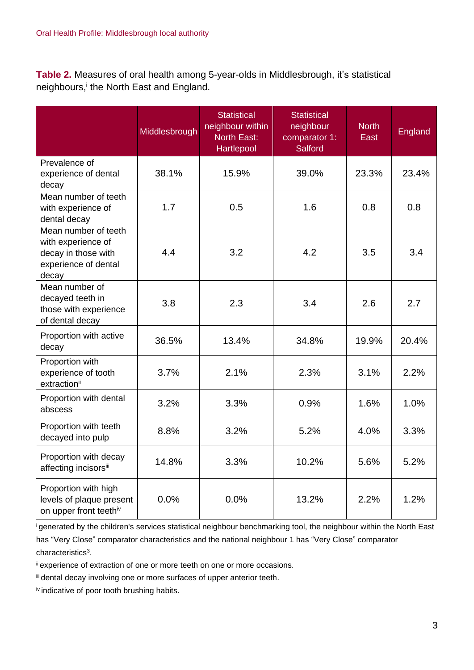**Table 2.** Measures of oral health among 5-year-olds in Middlesbrough, it's statistical neighbours,<sup>i</sup> the North East and England.

|                                                                                                    | Middlesbrough | <b>Statistical</b><br>neighbour within<br><b>North East:</b><br>Hartlepool | <b>Statistical</b><br>neighbour<br>comparator 1:<br><b>Salford</b> | <b>North</b><br>East | <b>England</b> |
|----------------------------------------------------------------------------------------------------|---------------|----------------------------------------------------------------------------|--------------------------------------------------------------------|----------------------|----------------|
| Prevalence of<br>experience of dental<br>decay                                                     | 38.1%         | 15.9%                                                                      | 39.0%                                                              | 23.3%                | 23.4%          |
| Mean number of teeth<br>with experience of<br>dental decay                                         | 1.7           | 0.5                                                                        | 1.6                                                                | 0.8                  | 0.8            |
| Mean number of teeth<br>with experience of<br>decay in those with<br>experience of dental<br>decay | 4.4           | 3.2                                                                        | 4.2                                                                | 3.5                  | 3.4            |
| Mean number of<br>decayed teeth in<br>those with experience<br>of dental decay                     | 3.8           | 2.3                                                                        | 3.4                                                                | 2.6                  | 2.7            |
| Proportion with active<br>decay                                                                    | 36.5%         | 13.4%                                                                      | 34.8%                                                              | 19.9%                | 20.4%          |
| Proportion with<br>experience of tooth<br>extractionii                                             | 3.7%          | 2.1%                                                                       | 2.3%                                                               | 3.1%                 | 2.2%           |
| Proportion with dental<br>abscess                                                                  | 3.2%          | 3.3%                                                                       | 0.9%                                                               | 1.6%                 | 1.0%           |
| Proportion with teeth<br>decayed into pulp                                                         | 8.8%          | 3.2%                                                                       | 5.2%                                                               | 4.0%                 | 3.3%           |
| Proportion with decay<br>affecting incisorsii                                                      | 14.8%         | 3.3%                                                                       | 10.2%                                                              | 5.6%                 | 5.2%           |
| Proportion with high<br>levels of plaque present<br>on upper front teethiv                         | 0.0%          | 0.0%                                                                       | 13.2%                                                              | 2.2%                 | 1.2%           |

<sup>i</sup>generated by the children's services statistical neighbour benchmarking tool, the neighbour within the North East has "Very Close" comparator characteristics and the national neighbour 1 has "Very Close" comparator characteristics<sup>3</sup>.

ii experience of extraction of one or more teeth on one or more occasions.

iii dental decay involving one or more surfaces of upper anterior teeth.

iv indicative of poor tooth brushing habits.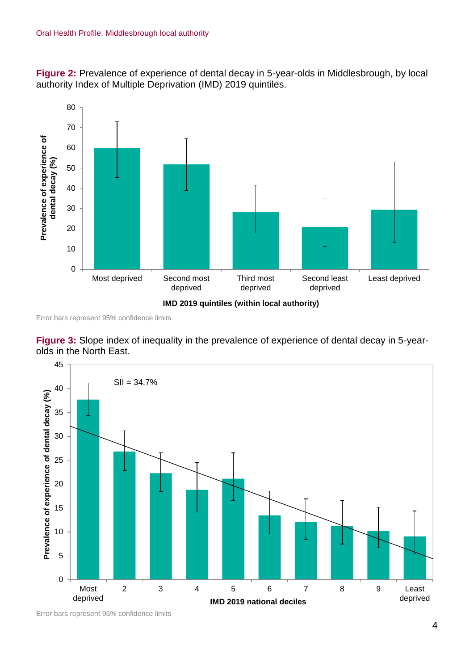**Figure 2:** Prevalence of experience of dental decay in 5-year-olds in Middlesbrough, by local authority Index of Multiple Deprivation (IMD) 2019 quintiles.



Error bars represent 95% confidence limits





Error bars represent 95% confidence limits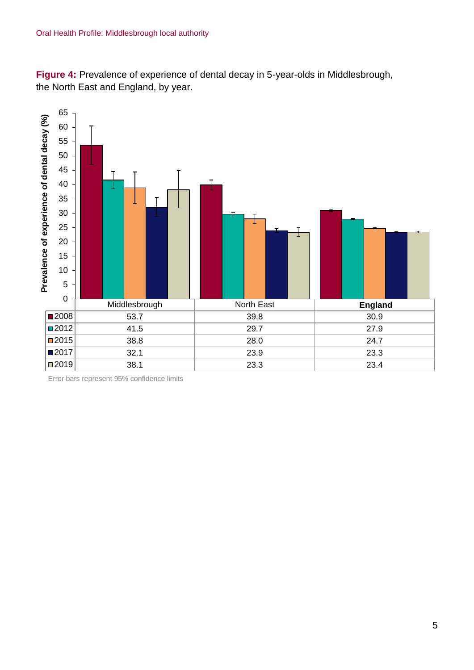**Figure 4:** Prevalence of experience of dental decay in 5-year-olds in Middlesbrough, the North East and England, by year.



Error bars represent 95% confidence limits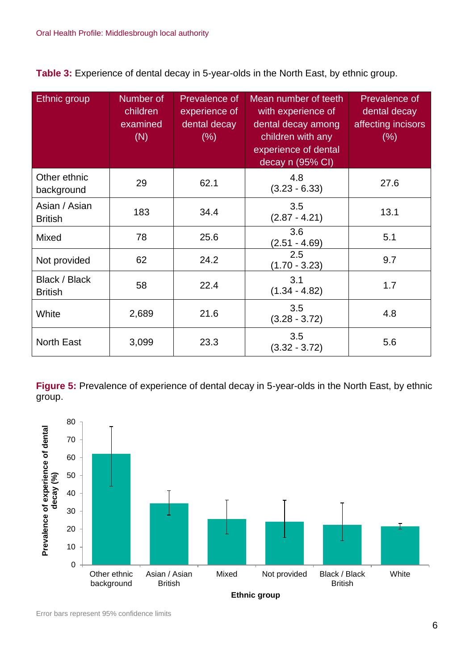**Table 3:** Experience of dental decay in 5-year-olds in the North East, by ethnic group.

| Ethnic group                    | Number of<br>children<br>examined<br>(N) | Prevalence of<br>experience of<br>dental decay<br>$(\% )$ | Mean number of teeth<br>with experience of<br>dental decay among<br>children with any<br>experience of dental<br>decay n (95% CI) | Prevalence of<br>dental decay<br>affecting incisors<br>$(\% )$ |
|---------------------------------|------------------------------------------|-----------------------------------------------------------|-----------------------------------------------------------------------------------------------------------------------------------|----------------------------------------------------------------|
| Other ethnic<br>background      | 29                                       | 62.1                                                      | 4.8<br>$(3.23 - 6.33)$                                                                                                            | 27.6                                                           |
| Asian / Asian<br><b>British</b> | 183                                      | 34.4                                                      | 3.5<br>$(2.87 - 4.21)$                                                                                                            | 13.1                                                           |
| Mixed                           | 78                                       | 25.6                                                      | 3.6<br>$(2.51 - 4.69)$                                                                                                            | 5.1                                                            |
| Not provided                    | 62                                       | 24.2                                                      | 2.5<br>$(1.70 - 3.23)$                                                                                                            | 9.7                                                            |
| Black / Black<br><b>British</b> | 58                                       | 22.4                                                      | 3.1<br>$(1.34 - 4.82)$                                                                                                            | 1.7                                                            |
| White                           | 2,689                                    | 21.6                                                      | 3.5<br>$(3.28 - 3.72)$                                                                                                            | 4.8                                                            |
| <b>North East</b>               | 3,099                                    | 23.3                                                      | 3.5<br>$(3.32 - 3.72)$                                                                                                            | 5.6                                                            |

**Figure 5:** Prevalence of experience of dental decay in 5-year-olds in the North East, by ethnic group.

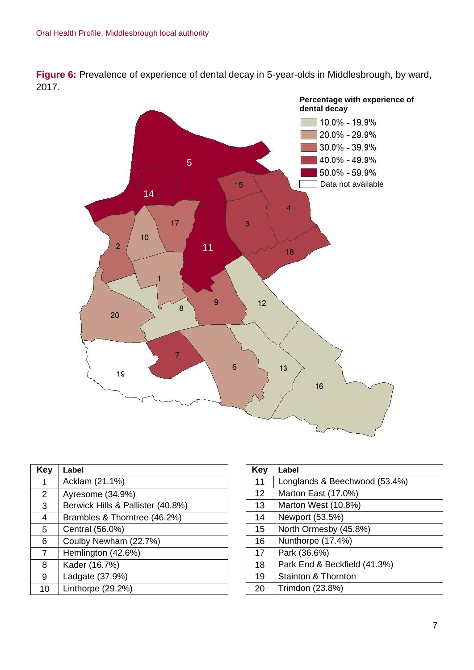**Figure 6:** Prevalence of experience of dental decay in 5-year-olds in Middlesbrough, by ward, 2017.



| Key | Label                             |
|-----|-----------------------------------|
|     | Acklam (21.1%)                    |
| 2   | Ayresome (34.9%)                  |
| 3   | Berwick Hills & Pallister (40.8%) |
| 4   | Brambles & Thorntree (46.2%)      |
| 5   | Central (56.0%)                   |
| 6   | Coulby Newham (22.7%)             |
| 7   | Hemlington (42.6%)                |
| 8   | Kader (16.7%)                     |
| 9   | Ladgate (37.9%)                   |
| 10  | Linthorpe (29.2%)                 |

| Key | Label                         |
|-----|-------------------------------|
| 11  | Longlands & Beechwood (53.4%) |
| 12  | Marton East (17.0%)           |
| 13  | Marton West (10.8%)           |
| 14  | Newport (53.5%)               |
| 15  | North Ormesby (45.8%)         |
| 16  | Nunthorpe (17.4%)             |
| 17  | Park (36.6%)                  |
| 18  | Park End & Beckfield (41.3%)  |
| 19  | Stainton & Thornton           |
| 20  | Trimdon (23.8%)               |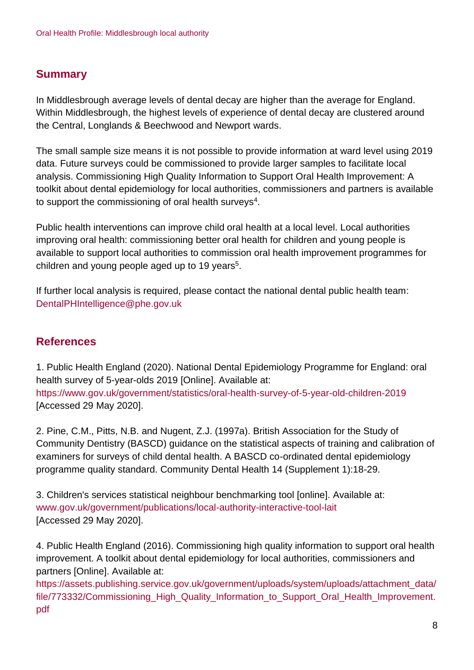## **Summary**

In Middlesbrough average levels of dental decay are higher than the average for England. Within Middlesbrough, the highest levels of experience of dental decay are clustered around the Central, Longlands & Beechwood and Newport wards.

The small sample size means it is not possible to provide information at ward level using 2019 data. Future surveys could be commissioned to provide larger samples to facilitate local analysis. Commissioning High Quality Information to Support Oral Health Improvement: A toolkit about dental epidemiology for local authorities, commissioners and partners is available to support the commissioning of oral health surveys $^4$ .

Public health interventions can improve child oral health at a local level. Local authorities improving oral health: commissioning better oral health for children and young people is available to support local authorities to commission oral health improvement programmes for children and young people aged up to 19 years<sup>5</sup>.

If further local analysis is required, please contact the national dental public health team: DentalPHIntelligence@phe.gov.uk

## **References**

1. Public Health England (2020). National Dental Epidemiology Programme for England: oral health survey of 5-year-olds 2019 [Online]. Available at: <https://www.gov.uk/government/statistics/oral-health-survey-of-5-year-old-children-2019> [Accessed 29 May 2020].

2. Pine, C.M., Pitts, N.B. and Nugent, Z.J. (1997a). British Association for the Study of Community Dentistry (BASCD) guidance on the statistical aspects of training and calibration of examiners for surveys of child dental health. A BASCD co-ordinated dental epidemiology programme quality standard. Community Dental Health 14 (Supplement 1):18-29.

3. Children's services statistical neighbour benchmarking tool [online]. Available at: [www.gov.uk/government/publications/local-authority-interactive-tool-lait](http://www.gov.uk/government/publications/local-authority-interactive-tool-lait) [Accessed 29 May 2020].

4. Public Health England (2016). Commissioning high quality information to support oral health improvement. A toolkit about dental epidemiology for local authorities, commissioners and partners [Online]. Available at:

[https://assets.publishing.service.gov.uk/government/uploads/system/uploads/attachment\\_data/](https://assets.publishing.service.gov.uk/government/uploads/system/uploads/attachment_data/file/773332/Commissioning_High_Quality_Information_to_Support_Oral_Health_Improvement.pdf) [file/773332/Commissioning\\_High\\_Quality\\_Information\\_to\\_Support\\_Oral\\_Health\\_Improvement.](https://assets.publishing.service.gov.uk/government/uploads/system/uploads/attachment_data/file/773332/Commissioning_High_Quality_Information_to_Support_Oral_Health_Improvement.pdf) [pdf](https://assets.publishing.service.gov.uk/government/uploads/system/uploads/attachment_data/file/773332/Commissioning_High_Quality_Information_to_Support_Oral_Health_Improvement.pdf)